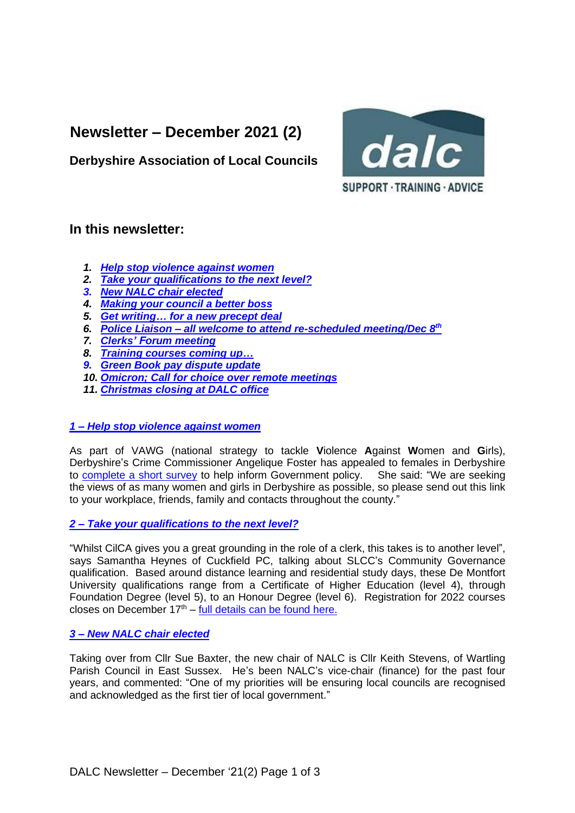# **Newsletter – December 2021 (2)**



**Derbyshire Association of Local Councils**

# **In this newsletter:**

- *1. [Help stop violence against women](#page-0-0)*
- *2. Take [your qualifications to the next level?](#page-0-1)*
- *3. New [NALC chair elected](#page-0-2)*
- *4. [Making your council a](#page-1-0) better boss*
- *5. [Get writing… for a](#page-1-1) new precept deal*
- *6. Police Liaison – [all welcome to attend re-scheduled meeting/Dec](#page-2-0) 8 th*
- *7. [Clerks' Forum meeting](#page-2-1)*
- *8. [Training courses coming up…](#page-2-2)*
- *9. [Green Book pay dispute update](#page-2-1)*
- *10. [Omicron; Call for choice over remote meetings](#page-2-2)*
- *11. [Christmas closing at DALC office](#page-2-3)*

## <span id="page-0-0"></span>*1 – [Help stop violence against women](#page-0-0)*

As part of VAWG (national strategy to tackle **V**iolence **A**gainst **W**omen and **G**irls), Derbyshire's Crime Commissioner Angelique Foster has appealed to females in Derbyshire to [complete a short survey](https://bit.ly/2XM6fiR) to help inform Government policy. She said: "We are seeking the views of as many women and girls in Derbyshire as possible, so please send out this link to your workplace, friends, family and contacts throughout the county."

## <span id="page-0-1"></span>*2 – [Take your qualifications to the next level?](#page-0-1)*

"Whilst CilCA gives you a great grounding in the role of a clerk, this takes is to another level", says Samantha Heynes of Cuckfield PC, talking about SLCC's Community Governance qualification. Based around distance learning and residential study days, these De Montfort University qualifications range from a Certificate of Higher Education (level 4), through Foundation Degree (level 5), to an Honour Degree (level 6). Registration for 2022 courses closes on December  $17<sup>th</sup> - full details can be found here.$  $17<sup>th</sup> - full details can be found here.$ 

## <span id="page-0-2"></span>*3 – [New NALC chair elected](#page-0-2)*

Taking over from Cllr Sue Baxter, the new chair of NALC is Cllr Keith Stevens, of Wartling Parish Council in East Sussex. He's been NALC's vice-chair (finance) for the past four years, and commented: "One of my priorities will be ensuring local councils are recognised and acknowledged as the first tier of local government."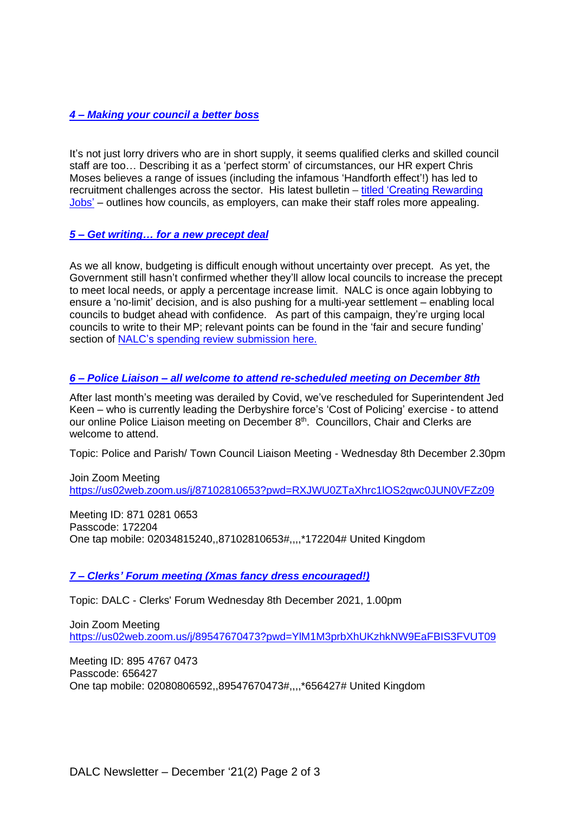## <span id="page-1-0"></span>*4 – [Making your council a](#page-1-0) better boss*

It's not just lorry drivers who are in short supply, it seems qualified clerks and skilled council staff are too… Describing it as a 'perfect storm' of circumstances, our HR expert Chris Moses believes a range of issues (including the infamous 'Handforth effect'!) has led to recruitment challenges across the sector. His latest bulletin – [titled 'Creating Rewarding](https://www.derbyshirealc.gov.uk/uploads/creating-rewarding-jobs.pdf)  [Jobs'](https://www.derbyshirealc.gov.uk/uploads/creating-rewarding-jobs.pdf) – outlines how councils, as employers, can make their staff roles more appealing.

#### <span id="page-1-1"></span>*5 – [Get writing… for a new precept deal](#page-1-1)*

As we all know, budgeting is difficult enough without uncertainty over precept. As yet, the Government still hasn't confirmed whether they'll allow local councils to increase the precept to meet local needs, or apply a percentage increase limit. NALC is once again lobbying to ensure a 'no-limit' decision, and is also pushing for a multi-year settlement – enabling local councils to budget ahead with confidence. As part of this campaign, they're urging local councils to write to their MP; relevant points can be found in the 'fair and secure funding' section of [NALC's spending review submission here.](https://www.nalc.gov.uk/library/news-stories/3586-pr20-21-budget-and-spending-review-2021-september-2021/file)

#### <span id="page-1-2"></span>*6 – Police Liaison – [all welcome to attend re-scheduled meeting on December 8th](#page-1-2)*

After last month's meeting was derailed by Covid, we've rescheduled for Superintendent Jed Keen – who is currently leading the Derbyshire force's 'Cost of Policing' exercise - to attend our online Police Liaison meeting on December 8<sup>th</sup>. Councillors, Chair and Clerks are welcome to attend.

Topic: Police and Parish/ Town Council Liaison Meeting - Wednesday 8th December 2.30pm

Join Zoom Meeting <https://us02web.zoom.us/j/87102810653?pwd=RXJWU0ZTaXhrc1lOS2gwc0JUN0VFZz09>

Meeting ID: 871 0281 0653 Passcode: 172204 One tap mobile: 02034815240,,87102810653#,,,,\*172204# United Kingdom

#### <span id="page-1-3"></span>*7 – Clerks' Forum meeting [\(Xmas fancy dress encouraged!\)](#page-1-3)*

Topic: DALC - Clerks' Forum Wednesday 8th December 2021, 1.00pm

Join Zoom Meeting <https://us02web.zoom.us/j/89547670473?pwd=YlM1M3prbXhUKzhkNW9EaFBIS3FVUT09>

Meeting ID: 895 4767 0473 Passcode: 656427 One tap mobile: 02080806592,,89547670473#,,,,\*656427# United Kingdom